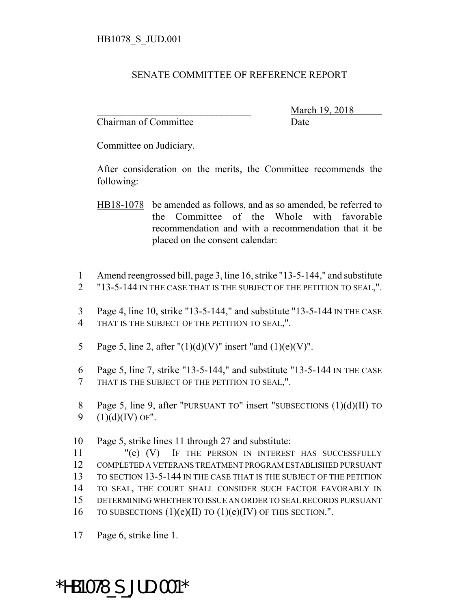## SENATE COMMITTEE OF REFERENCE REPORT

Chairman of Committee Date

\_\_\_\_\_\_\_\_\_\_\_\_\_\_\_\_\_\_\_\_\_\_\_\_\_\_\_\_\_\_\_ March 19, 2018

Committee on Judiciary.

After consideration on the merits, the Committee recommends the following:

- HB18-1078 be amended as follows, and as so amended, be referred to the Committee of the Whole with favorable recommendation and with a recommendation that it be placed on the consent calendar:
- 1 Amend reengrossed bill, page 3, line 16, strike "13-5-144," and substitute
- 2 "13-5-144 IN THE CASE THAT IS THE SUBJECT OF THE PETITION TO SEAL,".
- 3 Page 4, line 10, strike "13-5-144," and substitute "13-5-144 IN THE CASE 4 THAT IS THE SUBJECT OF THE PETITION TO SEAL,".
- 5 Page 5, line 2, after " $(1)(d)(V)$ " insert "and  $(1)(e)(V)$ ".
- 6 Page 5, line 7, strike "13-5-144," and substitute "13-5-144 IN THE CASE 7 THAT IS THE SUBJECT OF THE PETITION TO SEAL,".
- 8 Page 5, line 9, after "PURSUANT TO" insert "SUBSECTIONS (1)(d)(II) TO 9  $(1)(d)(IV)$  OF".
- 10 Page 5, strike lines 11 through 27 and substitute:

 "(e) (V) IF THE PERSON IN INTEREST HAS SUCCESSFULLY COMPLETED A VETERANS TREATMENT PROGRAM ESTABLISHED PURSUANT TO SECTION 13-5-144 IN THE CASE THAT IS THE SUBJECT OF THE PETITION TO SEAL, THE COURT SHALL CONSIDER SUCH FACTOR FAVORABLY IN DETERMINING WHETHER TO ISSUE AN ORDER TO SEAL RECORDS PURSUANT 16 TO SUBSECTIONS  $(1)(e)(II)$  TO  $(1)(e)(IV)$  OF THIS SECTION.".

17 Page 6, strike line 1.

## \*HB1078\_S\_JUD.001\*